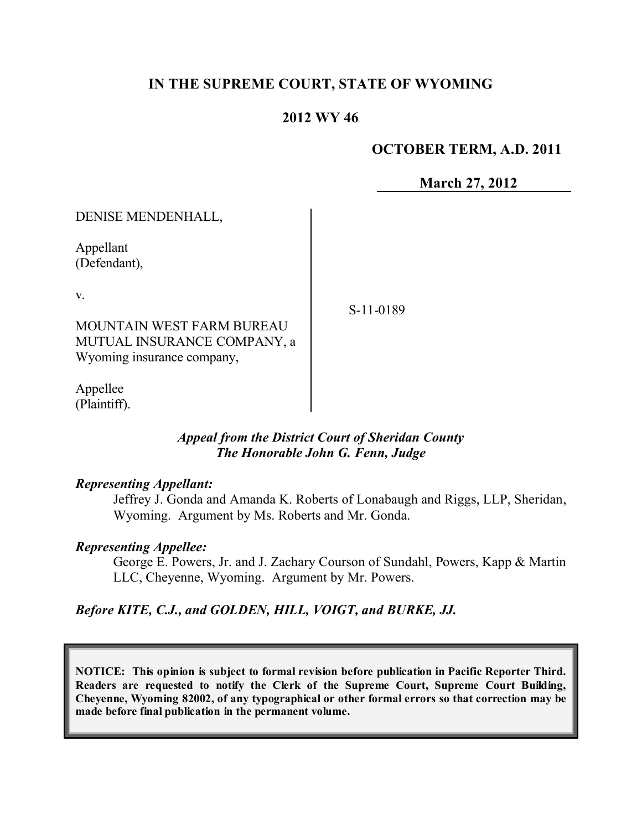# **IN THE SUPREME COURT, STATE OF WYOMING**

## **2012 WY 46**

### **OCTOBER TERM, A.D. 2011**

**March 27, 2012**

| DENISE MENDENHALL,               |           |
|----------------------------------|-----------|
| Appellant<br>(Defendant),        |           |
| V.                               | S-11-0189 |
| <b>MOUNTAIN WEST FARM BUREAU</b> |           |
| MUTUAL INSURANCE COMPANY, a      |           |
| Wyoming insurance company,       |           |
|                                  |           |

Appellee (Plaintiff).

### *Appeal from the District Court of Sheridan County The Honorable John G. Fenn, Judge*

#### *Representing Appellant:*

Jeffrey J. Gonda and Amanda K. Roberts of Lonabaugh and Riggs, LLP, Sheridan, Wyoming. Argument by Ms. Roberts and Mr. Gonda.

#### *Representing Appellee:*

George E. Powers, Jr. and J. Zachary Courson of Sundahl, Powers, Kapp & Martin LLC, Cheyenne, Wyoming. Argument by Mr. Powers.

## *Before KITE, C.J., and GOLDEN, HILL, VOIGT, and BURKE, JJ.*

**NOTICE: This opinion is subject to formal revision before publication in Pacific Reporter Third. Readers are requested to notify the Clerk of the Supreme Court, Supreme Court Building, Cheyenne, Wyoming 82002, of any typographical or other formal errors so that correction may be made before final publication in the permanent volume.**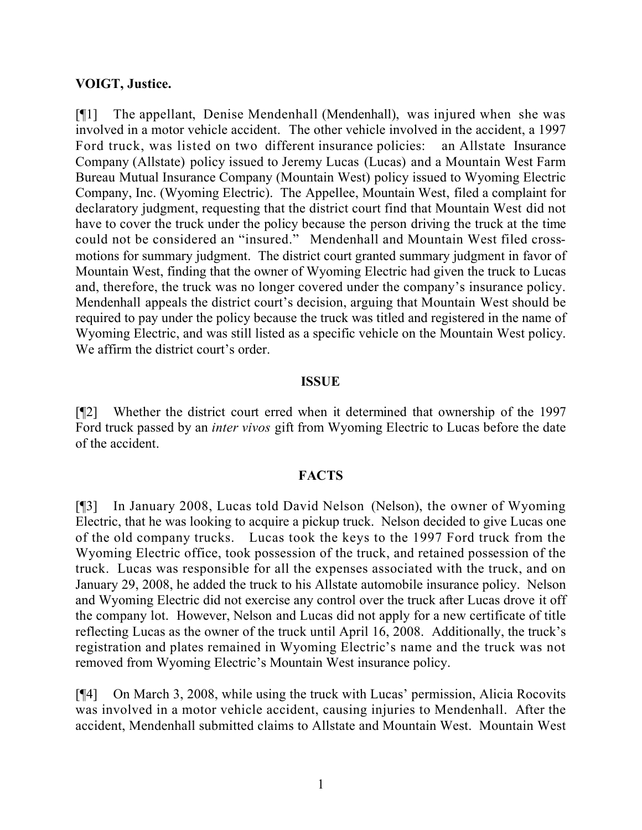#### **VOIGT, Justice.**

[¶1] The appellant, Denise Mendenhall (Mendenhall), was injured when she was involved in a motor vehicle accident. The other vehicle involved in the accident, a 1997 Ford truck, was listed on two different insurance policies: an Allstate Insurance Company (Allstate) policy issued to Jeremy Lucas (Lucas) and a Mountain West Farm Bureau Mutual Insurance Company (Mountain West) policy issued to Wyoming Electric Company, Inc. (Wyoming Electric). The Appellee, Mountain West, filed a complaint for declaratory judgment, requesting that the district court find that Mountain West did not have to cover the truck under the policy because the person driving the truck at the time could not be considered an "insured." Mendenhall and Mountain West filed crossmotions for summary judgment. The district court granted summary judgment in favor of Mountain West, finding that the owner of Wyoming Electric had given the truck to Lucas and, therefore, the truck was no longer covered under the company's insurance policy. Mendenhall appeals the district court's decision, arguing that Mountain West should be required to pay under the policy because the truck was titled and registered in the name of Wyoming Electric, and was still listed as a specific vehicle on the Mountain West policy. We affirm the district court's order.

#### **ISSUE**

[¶2] Whether the district court erred when it determined that ownership of the 1997 Ford truck passed by an *inter vivos* gift from Wyoming Electric to Lucas before the date of the accident.

#### **FACTS**

[¶3] In January 2008, Lucas told David Nelson (Nelson), the owner of Wyoming Electric, that he was looking to acquire a pickup truck. Nelson decided to give Lucas one of the old company trucks. Lucas took the keys to the 1997 Ford truck from the Wyoming Electric office, took possession of the truck, and retained possession of the truck. Lucas was responsible for all the expenses associated with the truck, and on January 29, 2008, he added the truck to his Allstate automobile insurance policy. Nelson and Wyoming Electric did not exercise any control over the truck after Lucas drove it off the company lot. However, Nelson and Lucas did not apply for a new certificate of title reflecting Lucas as the owner of the truck until April 16, 2008. Additionally, the truck's registration and plates remained in Wyoming Electric's name and the truck was not removed from Wyoming Electric's Mountain West insurance policy.

[¶4] On March 3, 2008, while using the truck with Lucas' permission, Alicia Rocovits was involved in a motor vehicle accident, causing injuries to Mendenhall. After the accident, Mendenhall submitted claims to Allstate and Mountain West. Mountain West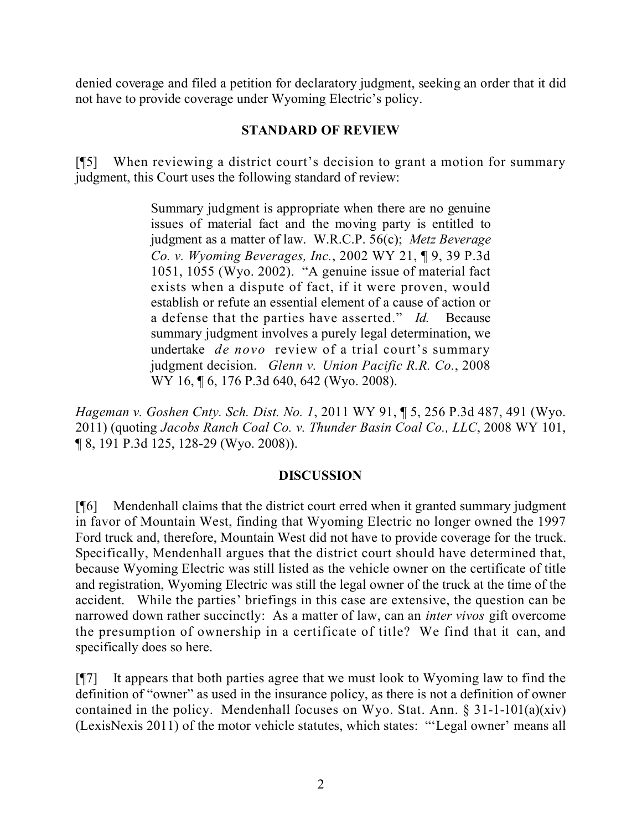denied coverage and filed a petition for declaratory judgment, seeking an order that it did not have to provide coverage under Wyoming Electric's policy.

# **STANDARD OF REVIEW**

[¶5] When reviewing a district court's decision to grant a motion for summary judgment, this Court uses the following standard of review:

> Summary judgment is appropriate when there are no genuine issues of material fact and the moving party is entitled to judgment as a matter of law. W.R.C.P. 56(c); *Metz Beverage Co. v. Wyoming Beverages, Inc.*, 2002 WY 21, ¶ 9, 39 P.3d 1051, 1055 (Wyo. 2002). "A genuine issue of material fact exists when a dispute of fact, if it were proven, would establish or refute an essential element of a cause of action or a defense that the parties have asserted." *Id.* Because summary judgment involves a purely legal determination, we undertake *de novo* review of a trial court's summary judgment decision. *Glenn v. Union Pacific R.R. Co.*, 2008 WY 16, 16, 176 P.3d 640, 642 (Wyo. 2008).

*Hageman v. Goshen Cnty. Sch. Dist. No. 1*, 2011 WY 91, ¶ 5, 256 P.3d 487, 491 (Wyo. 2011) (quoting *Jacobs Ranch Coal Co. v. Thunder Basin Coal Co., LLC*, 2008 WY 101, ¶ 8, 191 P.3d 125, 128-29 (Wyo. 2008)).

## **DISCUSSION**

[¶6] Mendenhall claims that the district court erred when it granted summary judgment in favor of Mountain West, finding that Wyoming Electric no longer owned the 1997 Ford truck and, therefore, Mountain West did not have to provide coverage for the truck. Specifically, Mendenhall argues that the district court should have determined that, because Wyoming Electric was still listed as the vehicle owner on the certificate of title and registration, Wyoming Electric was still the legal owner of the truck at the time of the accident. While the parties' briefings in this case are extensive, the question can be narrowed down rather succinctly: As a matter of law, can an *inter vivos* gift overcome the presumption of ownership in a certificate of title? We find that it can, and specifically does so here.

[¶7] It appears that both parties agree that we must look to Wyoming law to find the definition of "owner" as used in the insurance policy, as there is not a definition of owner contained in the policy. Mendenhall focuses on Wyo. Stat. Ann.  $\S 31$ -1-101(a)(xiv) (LexisNexis 2011) of the motor vehicle statutes, which states: "'Legal owner' means all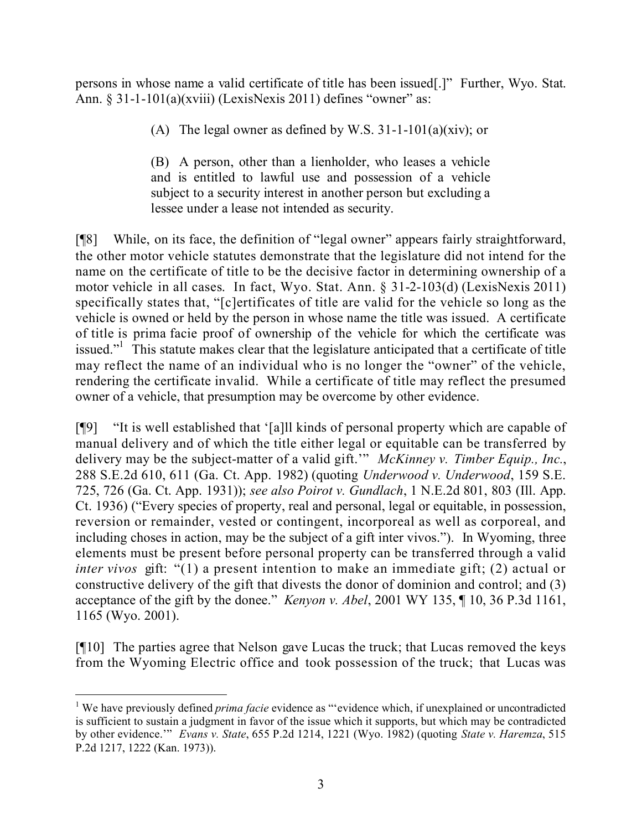persons in whose name a valid certificate of title has been issued[.]" Further, Wyo. Stat. Ann. § 31-1-101(a)(xviii) (LexisNexis 2011) defines "owner" as:

(A) The legal owner as defined by W.S.  $31-1-101(a)(xiv)$ ; or

(B) A person, other than a lienholder, who leases a vehicle and is entitled to lawful use and possession of a vehicle subject to a security interest in another person but excluding a lessee under a lease not intended as security.

[¶8] While, on its face, the definition of "legal owner" appears fairly straightforward, the other motor vehicle statutes demonstrate that the legislature did not intend for the name on the certificate of title to be the decisive factor in determining ownership of a motor vehicle in all cases. In fact, Wyo. Stat. Ann. § 31-2-103(d) (LexisNexis 2011) specifically states that, "[c]ertificates of title are valid for the vehicle so long as the vehicle is owned or held by the person in whose name the title was issued. A certificate of title is prima facie proof of ownership of the vehicle for which the certificate was issued."<sup>1</sup> This statute makes clear that the legislature anticipated that a certificate of title may reflect the name of an individual who is no longer the "owner" of the vehicle, rendering the certificate invalid. While a certificate of title may reflect the presumed owner of a vehicle, that presumption may be overcome by other evidence.

[¶9] "It is well established that '[a]ll kinds of personal property which are capable of manual delivery and of which the title either legal or equitable can be transferred by delivery may be the subject-matter of a valid gift.'" *McKinney v. Timber Equip., Inc.*, 288 S.E.2d 610, 611 (Ga. Ct. App. 1982) (quoting *Underwood v. Underwood*, 159 S.E. 725, 726 (Ga. Ct. App. 1931)); *see also Poirot v. Gundlach*, 1 N.E.2d 801, 803 (Ill. App. Ct. 1936) ("Every species of property, real and personal, legal or equitable, in possession, reversion or remainder, vested or contingent, incorporeal as well as corporeal, and including choses in action, may be the subject of a gift inter vivos."). In Wyoming, three elements must be present before personal property can be transferred through a valid *inter vivos* gift: "(1) a present intention to make an immediate gift; (2) actual or constructive delivery of the gift that divests the donor of dominion and control; and (3) acceptance of the gift by the donee." *Kenyon v. Abel*, 2001 WY 135, ¶ 10, 36 P.3d 1161, 1165 (Wyo. 2001).

[¶10] The parties agree that Nelson gave Lucas the truck; that Lucas removed the keys from the Wyoming Electric office and took possession of the truck; that Lucas was

 $\overline{a}$ 

<sup>&</sup>lt;sup>1</sup> We have previously defined *prima facie* evidence as "'evidence which, if unexplained or uncontradicted is sufficient to sustain a judgment in favor of the issue which it supports, but which may be contradicted by other evidence.'" *Evans v. State*, 655 P.2d 1214, 1221 (Wyo. 1982) (quoting *State v. Haremza*, 515 P.2d 1217, 1222 (Kan. 1973)).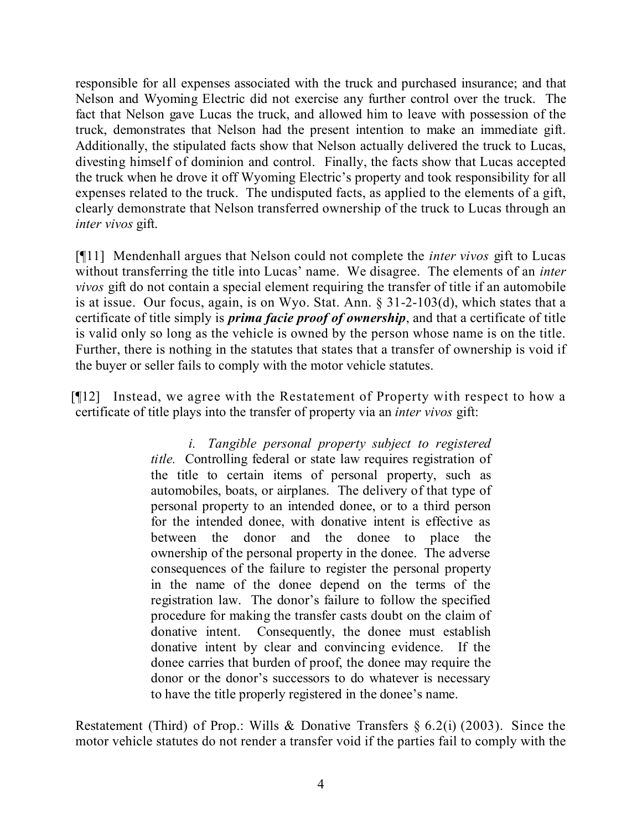responsible for all expenses associated with the truck and purchased insurance; and that Nelson and Wyoming Electric did not exercise any further control over the truck. The fact that Nelson gave Lucas the truck, and allowed him to leave with possession of the truck, demonstrates that Nelson had the present intention to make an immediate gift. Additionally, the stipulated facts show that Nelson actually delivered the truck to Lucas, divesting himself of dominion and control. Finally, the facts show that Lucas accepted the truck when he drove it off Wyoming Electric's property and took responsibility for all expenses related to the truck. The undisputed facts, as applied to the elements of a gift, clearly demonstrate that Nelson transferred ownership of the truck to Lucas through an *inter vivos* gift.

[¶11] Mendenhall argues that Nelson could not complete the *inter vivos* gift to Lucas without transferring the title into Lucas' name. We disagree. The elements of an *inter vivos* gift do not contain a special element requiring the transfer of title if an automobile is at issue. Our focus, again, is on Wyo. Stat. Ann. § 31-2-103(d), which states that a certificate of title simply is *prima facie proof of ownership*, and that a certificate of title is valid only so long as the vehicle is owned by the person whose name is on the title. Further, there is nothing in the statutes that states that a transfer of ownership is void if the buyer or seller fails to comply with the motor vehicle statutes.

[¶12] Instead, we agree with the Restatement of Property with respect to how a certificate of title plays into the transfer of property via an *inter vivos* gift:

> *i. Tangible personal property subject to registered title.* Controlling federal or state law requires registration of the title to certain items of personal property, such as automobiles, boats, or airplanes. The delivery of that type of personal property to an intended donee, or to a third person for the intended donee, with donative intent is effective as between the donor and the donee to place the ownership of the personal property in the donee. The adverse consequences of the failure to register the personal property in the name of the donee depend on the terms of the registration law. The donor's failure to follow the specified procedure for making the transfer casts doubt on the claim of donative intent. Consequently, the donee must establish donative intent by clear and convincing evidence. If the donee carries that burden of proof, the donee may require the donor or the donor's successors to do whatever is necessary to have the title properly registered in the donee's name.

Restatement (Third) of Prop.: Wills & Donative Transfers § 6.2(i) (2003). Since the motor vehicle statutes do not render a transfer void if the parties fail to comply with the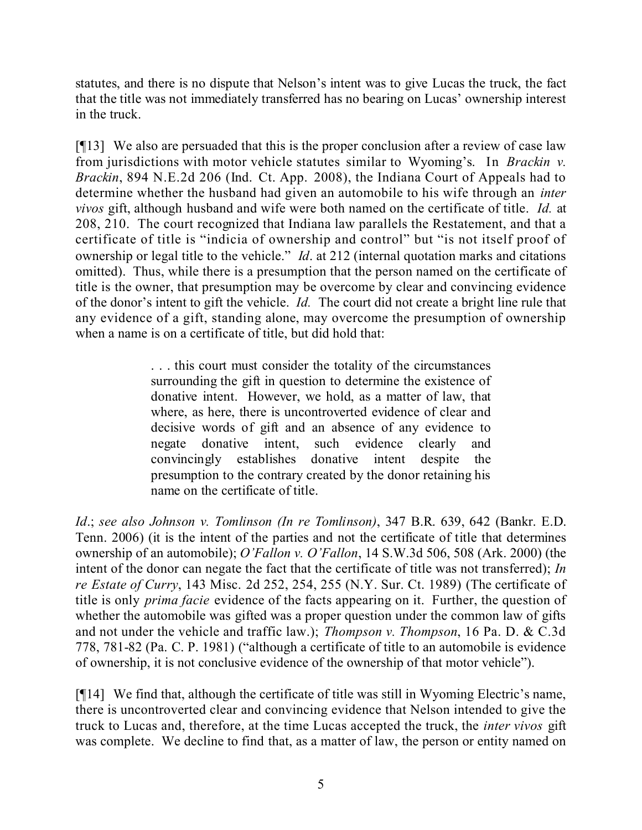statutes, and there is no dispute that Nelson's intent was to give Lucas the truck, the fact that the title was not immediately transferred has no bearing on Lucas' ownership interest in the truck.

[¶13] We also are persuaded that this is the proper conclusion after a review of case law from jurisdictions with motor vehicle statutes similar to Wyoming's. In *Brackin v. Brackin*, 894 N.E.2d 206 (Ind. Ct. App. 2008), the Indiana Court of Appeals had to determine whether the husband had given an automobile to his wife through an *inter vivos* gift, although husband and wife were both named on the certificate of title. *Id.* at 208, 210. The court recognized that Indiana law parallels the Restatement, and that a certificate of title is "indicia of ownership and control" but "is not itself proof of ownership or legal title to the vehicle." *Id*. at 212 (internal quotation marks and citations omitted). Thus, while there is a presumption that the person named on the certificate of title is the owner, that presumption may be overcome by clear and convincing evidence of the donor's intent to gift the vehicle. *Id.* The court did not create a bright line rule that any evidence of a gift, standing alone, may overcome the presumption of ownership when a name is on a certificate of title, but did hold that:

> . . . this court must consider the totality of the circumstances surrounding the gift in question to determine the existence of donative intent. However, we hold, as a matter of law, that where, as here, there is uncontroverted evidence of clear and decisive words of gift and an absence of any evidence to negate donative intent, such evidence clearly and convincingly establishes donative intent despite the presumption to the contrary created by the donor retaining his name on the certificate of title.

*Id*.; *see also Johnson v. Tomlinson (In re Tomlinson)*, 347 B.R. 639, 642 (Bankr. E.D. Tenn. 2006) (it is the intent of the parties and not the certificate of title that determines ownership of an automobile); *O'Fallon v. O'Fallon*, 14 S.W.3d 506, 508 (Ark. 2000) (the intent of the donor can negate the fact that the certificate of title was not transferred); *In re Estate of Curry*, 143 Misc. 2d 252, 254, 255 (N.Y. Sur. Ct. 1989) (The certificate of title is only *prima facie* evidence of the facts appearing on it. Further, the question of whether the automobile was gifted was a proper question under the common law of gifts and not under the vehicle and traffic law.); *Thompson v. Thompson*, 16 Pa. D. & C.3d 778, 781-82 (Pa. C. P. 1981) ("although a certificate of title to an automobile is evidence of ownership, it is not conclusive evidence of the ownership of that motor vehicle").

[¶14] We find that, although the certificate of title was still in Wyoming Electric's name, there is uncontroverted clear and convincing evidence that Nelson intended to give the truck to Lucas and, therefore, at the time Lucas accepted the truck, the *inter vivos* gift was complete. We decline to find that, as a matter of law, the person or entity named on